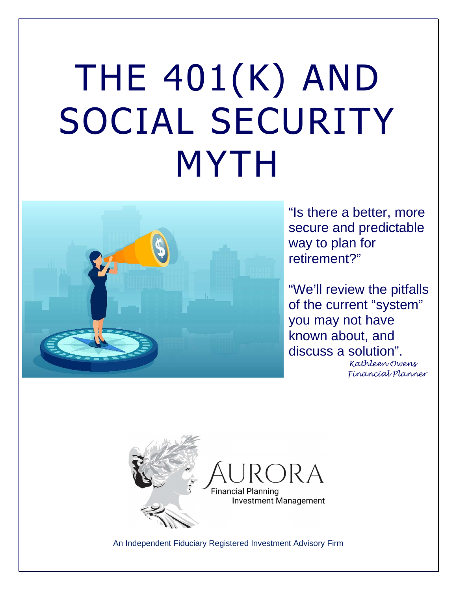# THE 401(K) AND SOCIAL SECURITY MYTH



"Is there a better, more secure and predictable way to plan for retirement?"

"We'll review the pitfalls of the current "system" you may not have known about, and discuss a solution".

 Kathleen Owens Financial Planner



An Independent Fiduciary Registered Investment Advisory Firm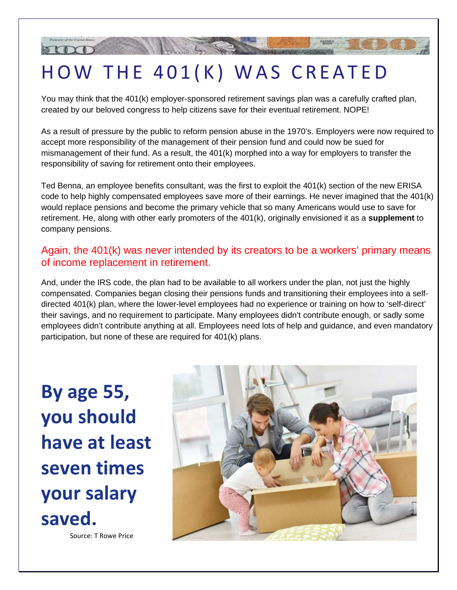# HOW THE 401(K) WAS CREATED

You may think that the 401(k) employer-sponsored retirement savings plan was a carefully crafted plan, created by our beloved congress to help citizens save for their eventual retirement. NOPE!

As a result of pressure by the public to reform pension abuse in the 1970's. Employers were now required to accept more responsibility of the management of their pension fund and could now be sued for mismanagement of their fund. As a result, the 401(k) morphed into a way for employers to transfer the responsibility of saving for retirement onto their employees.

Ted Benna, an employee benefits consultant, was the first to exploit the 401(k) section of the new ERISA code to help highly compensated employees save more of their earnings. He never imagined that the 401(k) would replace pensions and become the primary vehicle that so many Americans would use to save for retirement. He, along with other early promoters of the 401(k), originally envisioned it as a **supplement** to company pensions.

### Again, the 401(k) was never intended by its creators to be a workers' primary means of income replacement in retirement.

And, under the IRS code, the plan had to be available to all workers under the plan, not just the highly compensated. Companies began closing their pensions funds and transitioning their employees into a selfdirected 401(k) plan, where the lower-level employees had no experience or training on how to 'self-direct' their savings, and no requirement to participate. Many employees didn't contribute enough, or sadly some employees didn't contribute anything at all. Employees need lots of help and guidance, and even mandatory participation, but none of these are required for 401(k) plans.

**By age 55, you should have at least seven times your salary saved.**

Source: T Rowe Price

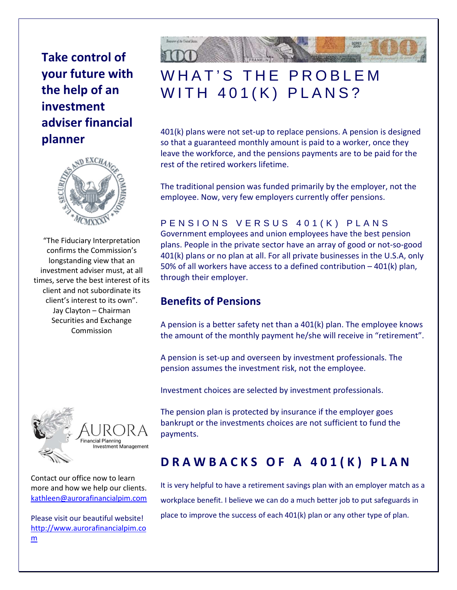**Take control of your future with the help of an investment adviser financial planner** 



"The Fiduciary Interpretation confirms the Commission's longstanding view that an investment adviser must, at all times, serve the best interest of its client and not subordinate its client's interest to its own". Jay Clayton – Chairman Securities and Exchange Commission



Contact our office now to learn more and how we help our clients. kathleen@aurorafinancialpim.com

Please visit our beautiful website! http://www.aurorafinancialpim.co m



# WHAT'S THE PROBLEM WITH 401(K) PLANS?

401(k) plans were not set-up to replace pensions. A pension is designed so that a guaranteed monthly amount is paid to a worker, once they leave the workforce, and the pensions payments are to be paid for the rest of the retired workers lifetime.

The traditional pension was funded primarily by the employer, not the employee. Now, very few employers currently offer pensions.

### PENSIONS VERSUS 401(K) PLANS

Government employees and union employees have the best pension plans. People in the private sector have an array of good or not-so-good 401(k) plans or no plan at all. For all private businesses in the U.S.A, only 50% of all workers have access to a defined contribution – 401(k) plan, through their employer.

### **Benefits of Pensions**

A pension is a better safety net than a 401(k) plan. The employee knows the amount of the monthly payment he/she will receive in "retirement".

A pension is set-up and overseen by investment professionals. The pension assumes the investment risk, not the employee.

Investment choices are selected by investment professionals.

The pension plan is protected by insurance if the employer goes bankrupt or the investments choices are not sufficient to fund the payments.

### **D R A W B A C K S O F A 401 (K) PLAN**

It is very helpful to have a retirement savings plan with an employer match as a workplace benefit. I believe we can do a much better job to put safeguards in place to improve the success of each 401(k) plan or any other type of plan.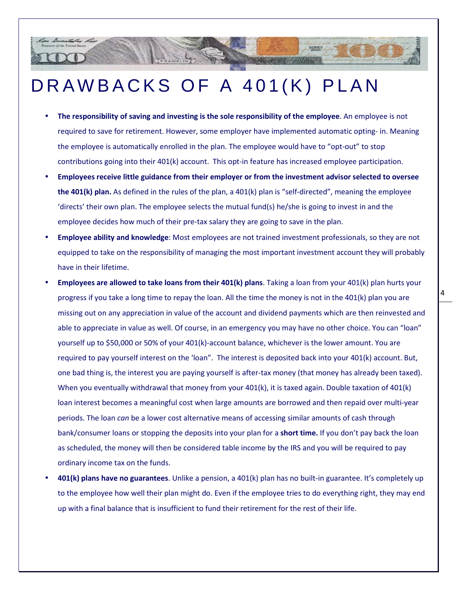# DRAWBACKS OF A 401(K) PLAN

- **The responsibility of saving and investing is the sole responsibility of the employee**. An employee is not required to save for retirement. However, some employer have implemented automatic opting- in. Meaning the employee is automatically enrolled in the plan. The employee would have to "opt-out" to stop contributions going into their 401(k) account. This opt-in feature has increased employee participation.
- **Employees receive little guidance from their employer or from the investment advisor selected to oversee the 401(k) plan.** As defined in the rules of the plan, a 401(k) plan is "self-directed", meaning the employee 'directs' their own plan. The employee selects the mutual fund(s) he/she is going to invest in and the employee decides how much of their pre-tax salary they are going to save in the plan.
- **Employee ability and knowledge**: Most employees are not trained investment professionals, so they are not equipped to take on the responsibility of managing the most important investment account they will probably have in their lifetime.
- **Employees are allowed to take loans from their 401(k) plans**. Taking a loan from your 401(k) plan hurts your progress if you take a long time to repay the loan. All the time the money is not in the 401(k) plan you are missing out on any appreciation in value of the account and dividend payments which are then reinvested and able to appreciate in value as well. Of course, in an emergency you may have no other choice. You can "loan" yourself up to \$50,000 or 50% of your 401(k)-account balance, whichever is the lower amount. You are required to pay yourself interest on the 'loan". The interest is deposited back into your 401(k) account. But, one bad thing is, the interest you are paying yourself is after-tax money (that money has already been taxed). When you eventually withdrawal that money from your 401(k), it is taxed again. Double taxation of 401(k) loan interest becomes a meaningful cost when large amounts are borrowed and then repaid over multi-year periods. The loan *can* be a lower cost alternative means of accessing similar amounts of cash through bank/consumer loans or stopping the deposits into your plan for a **short time.** If you don't pay back the loan as scheduled, the money will then be considered table income by the IRS and you will be required to pay ordinary income tax on the funds.
- **401(k) plans have no guarantees**. Unlike a pension, a 401(k) plan has no built-in guarantee. It's completely up to the employee how well their plan might do. Even if the employee tries to do everything right, they may end up with a final balance that is insufficient to fund their retirement for the rest of their life.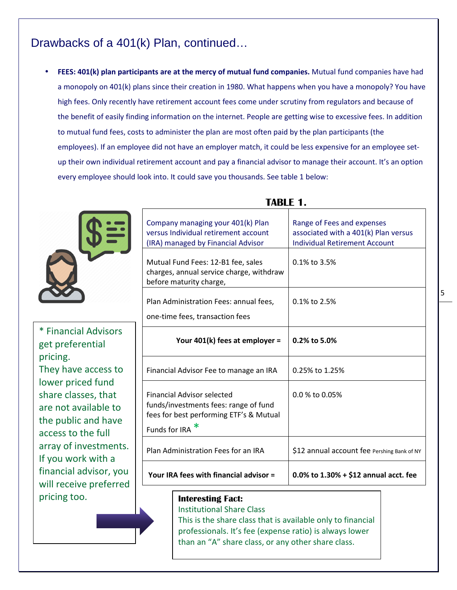### Drawbacks of a 401(k) Plan, continued…

• **FEES: 401(k) plan participants are at the mercy of mutual fund companies.** Mutual fund companies have had a monopoly on 401(k) plans since their creation in 1980. What happens when you have a monopoly? You have high fees. Only recently have retirement account fees come under scrutiny from regulators and because of the benefit of easily finding information on the internet. People are getting wise to excessive fees. In addition to mutual fund fees, costs to administer the plan are most often paid by the plan participants (the employees). If an employee did not have an employer match, it could be less expensive for an employee setup their own individual retirement account and pay a financial advisor to manage their account. It's an option every employee should look into. It could save you thousands. See table 1 below:



\* Financial Advisors get preferential pricing. They have access to lower priced fund share classes, that are not available to the public and have access to the full array of investments. If you work with a financial advisor, you will receive preferred pricing too. **Interesting Fact:** 

|                                                                                                                                                                                                            | <b>TABLE 1.</b>                                                                                                                        |                                                                                                            |  |  |  |  |
|------------------------------------------------------------------------------------------------------------------------------------------------------------------------------------------------------------|----------------------------------------------------------------------------------------------------------------------------------------|------------------------------------------------------------------------------------------------------------|--|--|--|--|
|                                                                                                                                                                                                            | Company managing your 401(k) Plan<br>versus Individual retirement account<br>(IRA) managed by Financial Advisor                        | Range of Fees and expenses<br>associated with a 401(k) Plan versus<br><b>Individual Retirement Account</b> |  |  |  |  |
|                                                                                                                                                                                                            | Mutual Fund Fees: 12-B1 fee, sales<br>charges, annual service charge, withdraw<br>before maturity charge,                              | 0.1% to 3.5%                                                                                               |  |  |  |  |
|                                                                                                                                                                                                            | Plan Administration Fees: annual fees,<br>one-time fees, transaction fees                                                              | 0.1% to 2.5%                                                                                               |  |  |  |  |
| ancial Advisors<br><b>preferential</b><br>ng.<br>have access to<br>er priced fund<br>e classes, that<br>not available to<br><b>public and have</b><br>ss to the full<br>y of investments.<br>u work with a | Your 401(k) fees at employer =                                                                                                         | 0.2% to 5.0%                                                                                               |  |  |  |  |
|                                                                                                                                                                                                            | Financial Advisor Fee to manage an IRA                                                                                                 | 0.25% to 1.25%                                                                                             |  |  |  |  |
|                                                                                                                                                                                                            | <b>Financial Advisor selected</b><br>funds/investments fees: range of fund<br>fees for best performing ETF's & Mutual<br>Funds for IRA | 0.0 % to 0.05%                                                                                             |  |  |  |  |
|                                                                                                                                                                                                            | Plan Administration Fees for an IRA                                                                                                    | \$12 annual account fee Pershing Bank of NY                                                                |  |  |  |  |
| ncial advisor, you<br>receive preferred                                                                                                                                                                    | Your IRA fees with financial advisor =                                                                                                 | $0.0\%$ to 1.30% + \$12 annual acct. fee                                                                   |  |  |  |  |
|                                                                                                                                                                                                            |                                                                                                                                        |                                                                                                            |  |  |  |  |

Institutional Share Class

This is the share class that is available only to financial professionals. It's fee (expense ratio) is always lower than an "A" share class, or any other share class.

5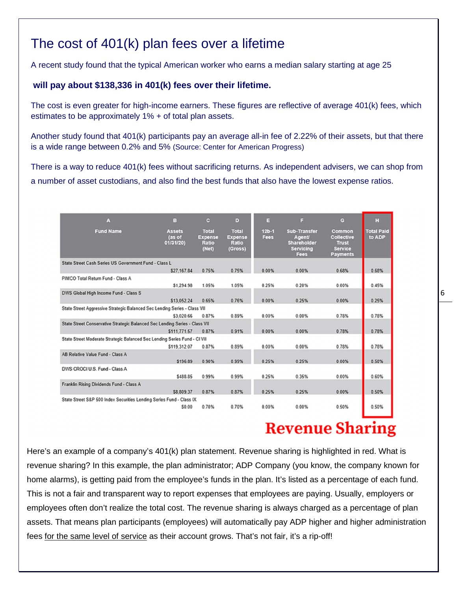## The cost of 401(k) plan fees over a lifetime

A recent study found that the typical American worker who earns a median salary starting at age 25

### **will pay about \$138,336 in 401(k) fees over their lifetime.**

The cost is even greater for high-income earners. These figures are reflective of average 401(k) fees, which estimates to be approximately 1% + of total plan assets.

Another study found that 401(k) participants pay an average all-in fee of 2.22% of their assets, but that there is a wide range between 0.2% and 5% (Source: Center for American Progress)

There is a way to reduce 401(k) fees without sacrificing returns. As independent advisers, we can shop from a number of asset custodians, and also find the best funds that also have the lowest expense ratios.

| A                                                                           | B                                    | $\mathbf{c}$                                     | D                                                  | в               | Е                                                                 | $\mathbf{c}$                                                | H                           |
|-----------------------------------------------------------------------------|--------------------------------------|--------------------------------------------------|----------------------------------------------------|-----------------|-------------------------------------------------------------------|-------------------------------------------------------------|-----------------------------|
| <b>Fund Name</b>                                                            | <b>Assets</b><br>(as of<br>01/31/20) | <b>Total</b><br><b>Expense</b><br>Ratio<br>(Net) | <b>Total</b><br><b>Expense</b><br>Ratio<br>(Gross) | $12b-1$<br>Fees | Sub-Transfer<br>Agent/<br>Shareholder<br>Servicing<br><b>Fees</b> | Common<br>Collective<br>Trust<br>Service<br><b>Payments</b> | <b>Total Paid</b><br>to ADP |
| State Street Cash Series US Government Fund - Class L.                      |                                      |                                                  |                                                    |                 |                                                                   |                                                             |                             |
|                                                                             | \$27,167.84                          | 0.75%                                            | 0.75%                                              | 0.00%           | 0.00%                                                             | 0.68%                                                       | 0.68%                       |
| PIMCO Total Return Fund - Class A                                           |                                      |                                                  |                                                    |                 |                                                                   |                                                             |                             |
|                                                                             | \$1,294.98                           | 1.05%                                            | 1.05%                                              | 0.25%           | 0.20%                                                             | 0.00%                                                       | 0.45%                       |
| DWS Global High Income Fund - Class S                                       |                                      |                                                  |                                                    |                 |                                                                   |                                                             |                             |
|                                                                             | \$13.052.24                          | 0.65%                                            | 0.76%                                              | 0.00%           | 0.25%                                                             | 0.00%                                                       | 0.25%                       |
| State Street Aggressive Strategic Balanced Sec Lending Series - Class VII   |                                      |                                                  |                                                    |                 |                                                                   |                                                             |                             |
|                                                                             | \$3,020.66                           | 0.87%                                            | 0.89%                                              | 0.00%           | 0.00%                                                             | 0.78%                                                       | 0.78%                       |
| State Street Conservative Strategic Balanced Sec Lending Series - Class VII |                                      |                                                  |                                                    |                 |                                                                   |                                                             |                             |
|                                                                             | \$111,771.57                         | 0.87%                                            | 0.91%                                              | 0.00%           | 0.00%                                                             | 0.78%                                                       | 0.78%                       |
| State Street Moderate Strategic Balanced Sec Lending Series Fund - CI VII   |                                      |                                                  |                                                    |                 |                                                                   |                                                             |                             |
|                                                                             | \$119.312.07                         | 0.87%                                            | 0.89%                                              | 0.00%           | 0.00%                                                             | 0.78%                                                       | 0.78%                       |
| AB Relative Value Fund - Class A                                            |                                      |                                                  |                                                    |                 |                                                                   |                                                             |                             |
|                                                                             | \$196.89                             | 0.90%                                            | 0.99%                                              | 0.25%           | 0.25%                                                             | 0.00%                                                       | 0.50%                       |
| DWS CROCI U.S. Fund - Class A                                               |                                      |                                                  |                                                    |                 |                                                                   |                                                             |                             |
|                                                                             | \$488.85                             | 0.99%                                            | 0.99%                                              | 0.25%           | 0.35%                                                             | 0.00%                                                       | 0.60%                       |
| Franklin Rising Dividends Fund - Class A                                    |                                      |                                                  |                                                    |                 |                                                                   |                                                             |                             |
|                                                                             | \$8,809.37                           | 0.87%                                            | 0.87%                                              | 0.25%           | 0.25%                                                             | 0.00%                                                       | 0.50%                       |
| State Street S&P 500 Index Securities Lending Series Fund - Class IX        |                                      |                                                  |                                                    |                 |                                                                   |                                                             |                             |
|                                                                             | \$0.00                               | 0.70%                                            | 0.70%                                              | 0.00%           | 0.00%                                                             | 0.50%                                                       | 0.50%                       |

# **Revenue Sharing**

Here's an example of a company's 401(k) plan statement. Revenue sharing is highlighted in red. What is revenue sharing? In this example, the plan administrator; ADP Company (you know, the company known for home alarms), is getting paid from the employee's funds in the plan. It's listed as a percentage of each fund. This is not a fair and transparent way to report expenses that employees are paying. Usually, employers or employees often don't realize the total cost. The revenue sharing is always charged as a percentage of plan assets. That means plan participants (employees) will automatically pay ADP higher and higher administration fees for the same level of service as their account grows. That's not fair, it's a rip-off!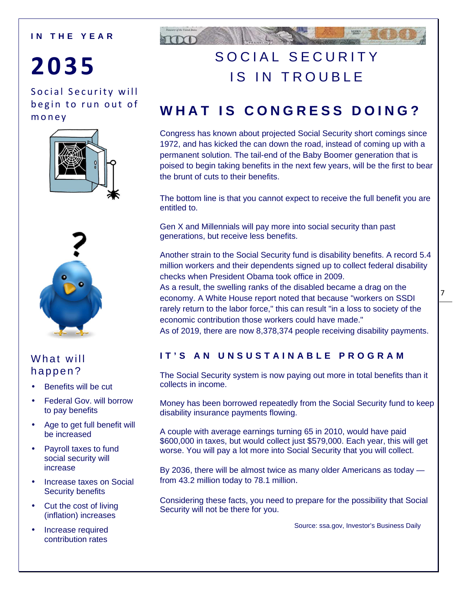### **I N T H E Y E A R**

# **203 5**

Social Security will begin to run out of m o n e y





### What will happen?

- Benefits will be cut
- Federal Gov. will borrow to pay benefits
- Age to get full benefit will be increased
- Payroll taxes to fund social security will increase
- Increase taxes on Social Security benefits
- Cut the cost of living (inflation) increases
- Increase required contribution rates



# SOCIAL SECURITY IS IN TROUBLE

# **W H A T I S C O N G R E S S D O I N G ?**

Congress has known about projected Social Security short comings since 1972, and has kicked the can down the road, instead of coming up with a permanent solution. The tail-end of the Baby Boomer generation that is poised to begin taking benefits in the next few years, will be the first to bear the brunt of cuts to their benefits.

The bottom line is that you cannot expect to receive the full benefit you are entitled to.

Gen X and Millennials will pay more into social security than past generations, but receive less benefits.

Another strain to the Social Security fund is disability benefits. A record 5.4 million workers and their dependents signed up to collect federal disability checks when President Obama took office in 2009.

As a result, the swelling ranks of the disabled became a drag on the economy. A White House report noted that because "workers on SSDI rarely return to the labor force," this can result "in a loss to society of the economic contribution those workers could have made."

As of 2019, there are now 8,378,374 people receiving disability payments.

### **I T ' S A N U N S U S T A I N A B L E P R O G R A M**

The Social Security system is now paying out more in total benefits than it collects in income.

Money has been borrowed repeatedly from the Social Security fund to keep disability insurance payments flowing.

A couple with average earnings turning 65 in 2010, would have paid \$600,000 in taxes, but would collect just \$579,000. Each year, this will get worse. You will pay a lot more into Social Security that you will collect.

By 2036, there will be almost twice as many older Americans as today from 43.2 million today to 78.1 million.

Considering these facts, you need to prepare for the possibility that Social Security will not be there for you.

Source: ssa.gov, Investor's Business Daily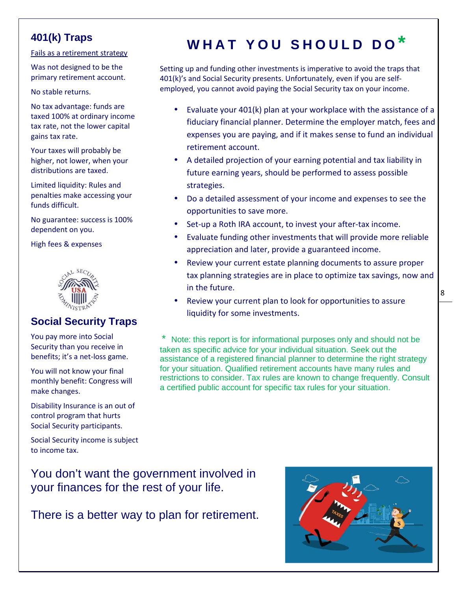### **401(k) Traps**

Fails as a retirement strategy

Was not designed to be the primary retirement account.

No stable returns.

No tax advantage: funds are taxed 100% at ordinary income tax rate, not the lower capital gains tax rate.

Your taxes will probably be higher, not lower, when your distributions are taxed.

Limited liquidity: Rules and penalties make accessing your funds difficult.

No guarantee: success is 100% dependent on you.

High fees & expenses



### **Social Security Traps**

You pay more into Social Security than you receive in benefits; it's a net-loss game.

You will not know your final monthly benefit: Congress will make changes.

Disability Insurance is an out of control program that hurts Social Security participants.

Social Security income is subject to income tax.

You don't want the government involved in

your finances for the rest of your life.

There is a better way to plan for retirement.

# **W H A T Y O U S H O U L D D O \***

Setting up and funding other investments is imperative to avoid the traps that 401(k)'s and Social Security presents. Unfortunately, even if you are selfemployed, you cannot avoid paying the Social Security tax on your income.

- Evaluate your 401(k) plan at your workplace with the assistance of a fiduciary financial planner. Determine the employer match, fees and expenses you are paying, and if it makes sense to fund an individual retirement account.
- A detailed projection of your earning potential and tax liability in future earning years, should be performed to assess possible strategies.
- Do a detailed assessment of your income and expenses to see the opportunities to save more.
- Set-up a Roth IRA account, to invest your after-tax income.
- Evaluate funding other investments that will provide more reliable appreciation and later, provide a guaranteed income.
- Review your current estate planning documents to assure proper tax planning strategies are in place to optimize tax savings, now and in the future.
- Review your current plan to look for opportunities to assure liquidity for some investments.

Note: this report is for informational purposes only and should not be taken as specific advice for your individual situation. Seek out the assistance of a registered financial planner to determine the right strategy for your situation. Qualified retirement accounts have many rules and restrictions to consider. Tax rules are known to change frequently. Consult a certified public account for specific tax rules for your situation.